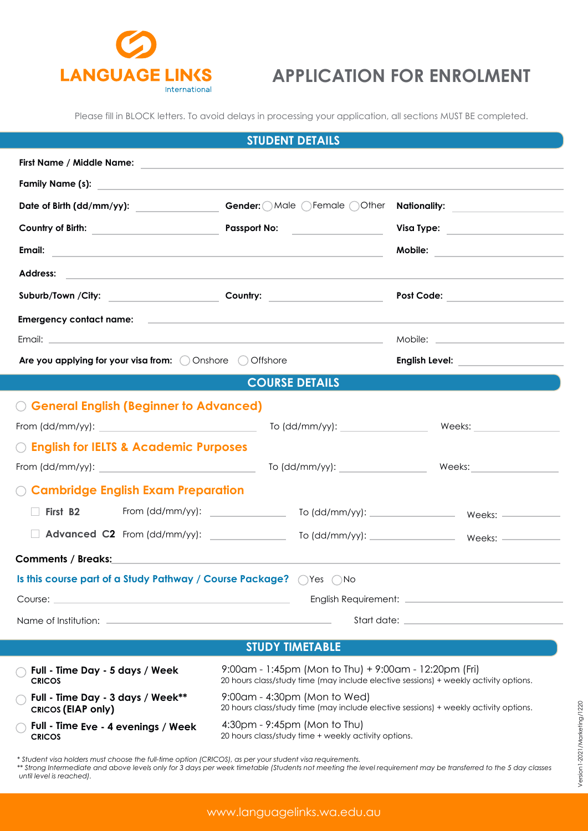

## **APPLICATION FOR ENROLMENT**

Please fill in BLOCK letters. To avoid delays in processing your application, all sections MUST BE completed.

|                                                                                                                        | <b>STUDENT DETAILS</b>                                                                                                                        |                                   |
|------------------------------------------------------------------------------------------------------------------------|-----------------------------------------------------------------------------------------------------------------------------------------------|-----------------------------------|
| First Name / Middle Name:                                                                                              | <u> 1989 - John Stone, Amerikaansk politiker (</u>                                                                                            |                                   |
|                                                                                                                        |                                                                                                                                               |                                   |
| Date of Birth (dd/mm/yy): _______________                                                                              |                                                                                                                                               |                                   |
|                                                                                                                        | Passport No:                                                                                                                                  | Visa Type: ______________________ |
| Email: <u>Alexander Adam and Alexander Adam and Alexander Adam and Alexander Adam and Alexander Adam and Alexander</u> |                                                                                                                                               |                                   |
|                                                                                                                        |                                                                                                                                               |                                   |
| Suburb/Town /City:                                                                                                     | Country: _____________________                                                                                                                |                                   |
| Emergency contact name: experience and a series of the series of the series of the series of the series of the         |                                                                                                                                               |                                   |
|                                                                                                                        |                                                                                                                                               |                                   |
| Are you applying for your visa from: $\bigcirc$ Onshore $\bigcirc$ Offshore                                            |                                                                                                                                               |                                   |
|                                                                                                                        | <b>COURSE DETAILS</b>                                                                                                                         |                                   |
| <b>O General English (Beginner to Advanced)</b>                                                                        |                                                                                                                                               |                                   |
|                                                                                                                        |                                                                                                                                               | To (dd/mm/yy): Weeks:             |
| <b>C English for IELTS &amp; Academic Purposes</b>                                                                     |                                                                                                                                               |                                   |
|                                                                                                                        |                                                                                                                                               |                                   |
| $\bigcirc$ Cambridge English Exam Preparation                                                                          |                                                                                                                                               |                                   |
| To (dd/mm/yy): To (dd/mm/yy): To (dd/mm/yy): Weeks: Weeks:                                                             |                                                                                                                                               |                                   |
| Advanced C2 From (dd/mm/yy): _______________ To (dd/mm/yy): _______________ Weeks: ___________                         |                                                                                                                                               |                                   |
| Comments / Breaks:                                                                                                     |                                                                                                                                               |                                   |
| Is this course part of a Study Pathway / Course Package? OYes ONo                                                      |                                                                                                                                               |                                   |
| the control of the control of the control of the control of the control of<br>Course: _                                |                                                                                                                                               |                                   |
| Name of Institution: entries and the state of the state of the state of the state of the state of the state of         |                                                                                                                                               |                                   |
|                                                                                                                        |                                                                                                                                               |                                   |
|                                                                                                                        | <b>STUDY TIMETABLE</b>                                                                                                                        |                                   |
| Full - Time Day - 5 days / Week<br><b>CRICOS</b>                                                                       | 9:00am - 1:45pm (Mon to Thu) + 9:00am - 12:20pm (Fri)<br>20 hours class/study time (may include elective sessions) + weekly activity options. |                                   |
| Full - Time Day - 3 days / Week**                                                                                      | 9:00am - 4:30pm (Mon to Wed)                                                                                                                  |                                   |

- **CRICOS (EIAP only)**
- **Full Time Eve 4 evenings / Week CRICOS**
- 20 hours class/study time (may include elective sessions) + weekly activity options. 4:30pm - 9:45pm (Mon to Thu) 20 hours class/study time + weekly activity options.

*<sup>\*</sup> Student visa holders must choose the full-time option (CRICOS), as per your student visa requirements.*

*<sup>\*\*</sup> Strong Intermediate and above levels only for 3 days per week timetable (Students not meeting the level requirement may be transferred to the 5 day classes until level is reached).*